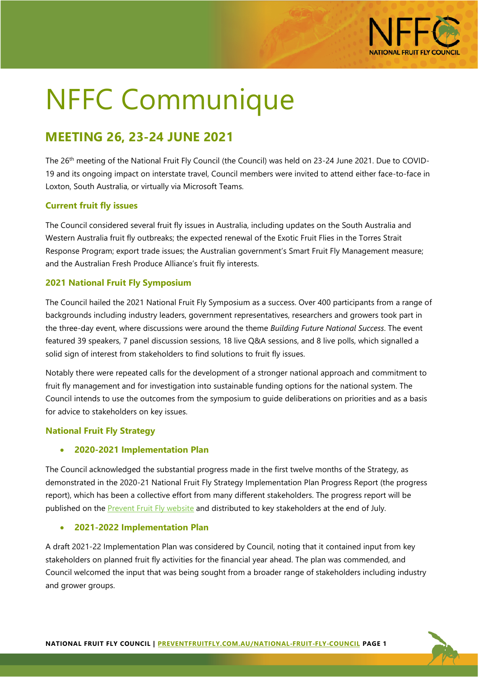

# NFFC Communique

# **MEETING 26, 23-24 JUNE 2021**

The 26th meeting of the National Fruit Fly Council (the Council) was held on 23-24 June 2021. Due to COVID-19 and its ongoing impact on interstate travel, Council members were invited to attend either face-to-face in Loxton, South Australia, or virtually via Microsoft Teams.

# **Current fruit fly issues**

The Council considered several fruit fly issues in Australia, including updates on the South Australia and Western Australia fruit fly outbreaks; the expected renewal of the Exotic Fruit Flies in the Torres Strait Response Program; export trade issues; the Australian government's Smart Fruit Fly Management measure; and the Australian Fresh Produce Alliance's fruit fly interests.

# **2021 National Fruit Fly Symposium**

The Council hailed the 2021 National Fruit Fly Symposium as a success. Over 400 participants from a range of backgrounds including industry leaders, government representatives, researchers and growers took part in the three-day event, where discussions were around the theme *Building Future National Success*. The event featured 39 speakers, 7 panel discussion sessions, 18 live Q&A sessions, and 8 live polls, which signalled a solid sign of interest from stakeholders to find solutions to fruit fly issues.

Notably there were repeated calls for the development of a stronger national approach and commitment to fruit fly management and for investigation into sustainable funding options for the national system. The Council intends to use the outcomes from the symposium to guide deliberations on priorities and as a basis for advice to stakeholders on key issues.

## **National Fruit Fly Strategy**

## • **2020-2021 Implementation Plan**

The Council acknowledged the substantial progress made in the first twelve months of the Strategy, as demonstrated in the 2020-21 National Fruit Fly Strategy Implementation Plan Progress Report (the progress report), which has been a collective effort from many different stakeholders. The progress report will be published on the **Prevent Fruit Fly website** and distributed to key stakeholders at the end of July.

## • **2021-2022 Implementation Plan**

A draft 2021-22 Implementation Plan was considered by Council, noting that it contained input from key stakeholders on planned fruit fly activities for the financial year ahead. The plan was commended, and Council welcomed the input that was being sought from a broader range of stakeholders including industry and grower groups.